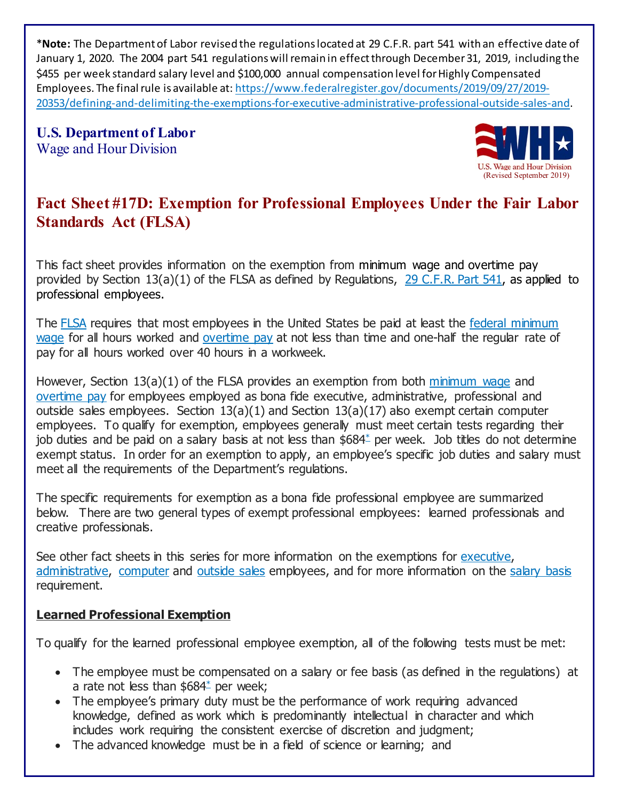\***Note:** The Department of Labor revised the regulations located at 29 C.F.R. part 541 with an effective date of January 1, 2020. The 2004 part 541 regulations will remain in effect through December 31, 2019, including the \$455 per week standard salary level and \$100,000 annual compensation level for Highly Compensated Employees. The final rule is available at: [https://www.federalregister.gov/documents/2019/09/27/2019-](https://www.federalregister.gov/documents/2019/09/27/2019-20353/defining-and-delimiting-the-exemptions-for-executive-administrative-professional-outside-sales-and) [20353/defining-and-delimiting-the-exemptions-for-executive-administrative-professional-outside-sales-and](https://www.federalregister.gov/documents/2019/09/27/2019-20353/defining-and-delimiting-the-exemptions-for-executive-administrative-professional-outside-sales-and).

**U.S. Department of Labor**  Wage and Hour Division



# **Fact Sheet #17D: Exemption for Professional Employees Under the Fair Labor Standards Act (FLSA)**

This fact sheet provides information on the exemption from minimum wage and overtime pay provided by Section 13(a)(1) of the FLSA as defined by Regulations, [29 C.F.R. Part 541,](https://www.ecfr.gov/cgi-bin/text-idx?SID=62e63b2a9c9a27781cf6af25feb88d8b&mc=true&node=pt29.3.541&rgn=div5#_top) as applied to professional employees.

The [FLSA](https://www.dol.gov/whd/flsa/index.htm) requires that most employees in the United States be paid at least the [federal minimum](https://www.dol.gov/WHD/minimumwage.htm)  [wage](https://www.dol.gov/WHD/minimumwage.htm) for all hours worked and [overtime pay](https://www.dol.gov/whd/overtime_pay.htm) at not less than time and one-half the regular rate of pay for all hours worked over 40 hours in a workweek.

However, Section 13(a)(1) of the FLSA provides an exemption from both [minimum wage](https://www.dol.gov/WHD/minimumwage.htm) and [overtime pay](https://www.dol.gov/whd/overtime_pay.htm) for employees employed as bona fide executive, administrative, professional and outside sales employees. Section  $13(a)(1)$  and Section  $13(a)(17)$  also exempt certain computer employees. To qualify for exemption, employees generally must meet certain tests regarding their job duties and be paid on a salary basis at not less than \$684\* per week. Job titles do not determine exempt status. In order for an exemption to apply, an employee's specific job duties and salary must meet all the requirements of the Department's regulations.

The specific requirements for exemption as a bona fide professional employee are summarized below. There are two general types of exempt professional employees: learned professionals and creative professionals.

See other fact sheets in this series for more information on the exemptions for [executive,](https://www.dol.gov/whd/overtime/fs17b_executive.pdf) [administrative,](https://www.dol.gov/whd/overtime/fs17c_administrative.pdf) [computer](https://www.dol.gov/whd/overtime/fs17e_computer.pdf) and [outside sales](https://www.dol.gov/whd/overtime/fs17f_outsidesales.pdf) employees, and for more information on the [salary basis](https://www.dol.gov/whd/overtime/fs17g_salary.pdf) requirement.

#### **Learned Professional Exemption**

To qualify for the learned professional employee exemption, all of the following tests must be met:

- The employee must be compensated on a salary or fee basis (as defined in the regulations) at a rate not less than  $$684<sup>*</sup>$  per week;
- The employee's primary duty must be the performance of work requiring advanced knowledge, defined as work which is predominantly intellectual in character and which includes work requiring the consistent exercise of discretion and judgment;
- The advanced knowledge must be in a field of science or learning; and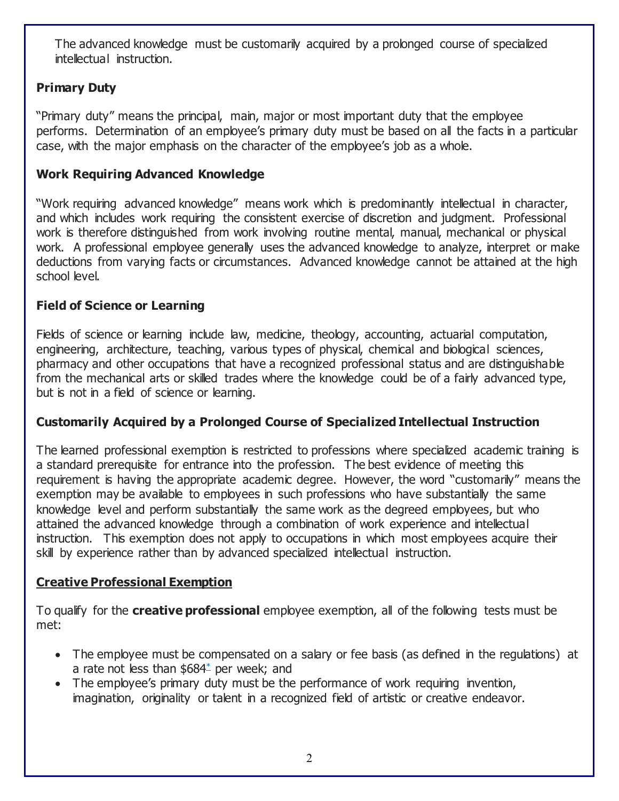The advanced knowledge must be customarily acquired by a prolonged course of specialized intellectual instruction.

## **Primary Duty**

"Primary duty" means the principal, main, major or most important duty that the employee performs. Determination of an employee's primary duty must be based on all the facts in a particular case, with the major emphasis on the character of the employee's job as a whole.

## **Work Requiring Advanced Knowledge**

"Work requiring advanced knowledge" means work which is predominantly intellectual in character, and which includes work requiring the consistent exercise of discretion and judgment. Professional work is therefore distinguished from work involving routine mental, manual, mechanical or physical work. A professional employee generally uses the advanced knowledge to analyze, interpret or make deductions from varying facts or circumstances. Advanced knowledge cannot be attained at the high school level.

## **Field of Science or Learning**

Fields of science or learning include law, medicine, theology, accounting, actuarial computation, engineering, architecture, teaching, various types of physical, chemical and biological sciences, pharmacy and other occupations that have a recognized professional status and are distinguishable from the mechanical arts or skilled trades where the knowledge could be of a fairly advanced type, but is not in a field of science or learning.

## **Customarily Acquired by a Prolonged Course of Specialized Intellectual Instruction**

The learned professional exemption is restricted to professions where specialized academic training is a standard prerequisite for entrance into the profession. The best evidence of meeting this requirement is having the appropriate academic degree. However, the word "customarily" means the exemption may be available to employees in such professions who have substantially the same knowledge level and perform substantially the same work as the degreed employees, but who attained the advanced knowledge through a combination of work experience and intellectual instruction. This exemption does not apply to occupations in which most employees acquire their skill by experience rather than by advanced specialized intellectual instruction.

## **Creative Professional Exemption**

To qualify for the **creative professional** employee exemption, all of the following tests must be met:

- The employee must be compensated on a salary or fee basis (as defined in the regulations) at a rate not less than \$68[4\\*](https://www.dol.gov/whd/overtime/fs17d_professional.htm#footnoteOvertime) per week; and
- The employee's primary duty must be the performance of work requiring invention, imagination, originality or talent in a recognized field of artistic or creative endeavor.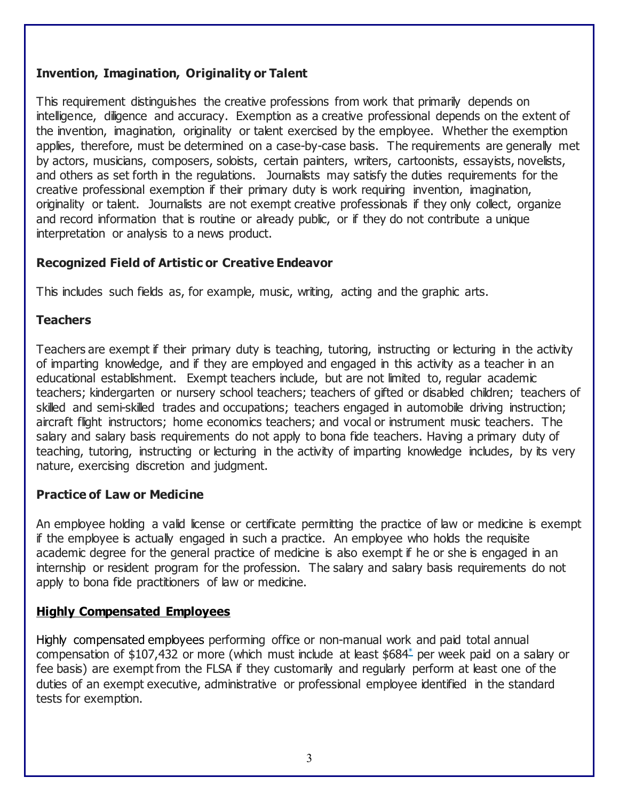## **Invention, Imagination, Originality or Talent**

This requirement distinguishes the creative professions from work that primarily depends on intelligence, diligence and accuracy. Exemption as a creative professional depends on the extent of the invention, imagination, originality or talent exercised by the employee. Whether the exemption applies, therefore, must be determined on a case-by-case basis. The requirements are generally met by actors, musicians, composers, soloists, certain painters, writers, cartoonists, essayists, novelists, and others as set forth in the regulations. Journalists may satisfy the duties requirements for the creative professional exemption if their primary duty is work requiring invention, imagination, originality or talent. Journalists are not exempt creative professionals if they only collect, organize and record information that is routine or already public, or if they do not contribute a unique interpretation or analysis to a news product.

## **Recognized Field of Artistic or Creative Endeavor**

This includes such fields as, for example, music, writing, acting and the graphic arts.

#### **Teachers**

Teachers are exempt if their primary duty is teaching, tutoring, instructing or lecturing in the activity of imparting knowledge, and if they are employed and engaged in this activity as a teacher in an educational establishment. Exempt teachers include, but are not limited to, regular academic teachers; kindergarten or nursery school teachers; teachers of gifted or disabled children; teachers of skilled and semi-skilled trades and occupations; teachers engaged in automobile driving instruction; aircraft flight instructors; home economics teachers; and vocal or instrument music teachers. The salary and salary basis requirements do not apply to bona fide teachers. Having a primary duty of teaching, tutoring, instructing or lecturing in the activity of imparting knowledge includes, by its very nature, exercising discretion and judgment.

## **Practice of Law or Medicine**

An employee holding a valid license or certificate permitting the practice of law or medicine is exempt if the employee is actually engaged in such a practice. An employee who holds the requisite academic degree for the general practice of medicine is also exempt if he or she is engaged in an internship or resident program for the profession. The salary and salary basis requirements do not apply to bona fide practitioners of law or medicine.

#### **Highly Compensated Employees**

[Highly compensated employees](https://www.dol.gov/whd/overtime/fs17h_highly_comp.pdf) performing office or non-manual work and paid total annual compensation of \$107,432 or more (which must include at least \$684\* per week paid on a salary or fee basis) are exempt from the FLSA if they customarily and regularly perform at least one of the duties of an exempt executive, administrative or professional employee identified in the standard tests for exemption.